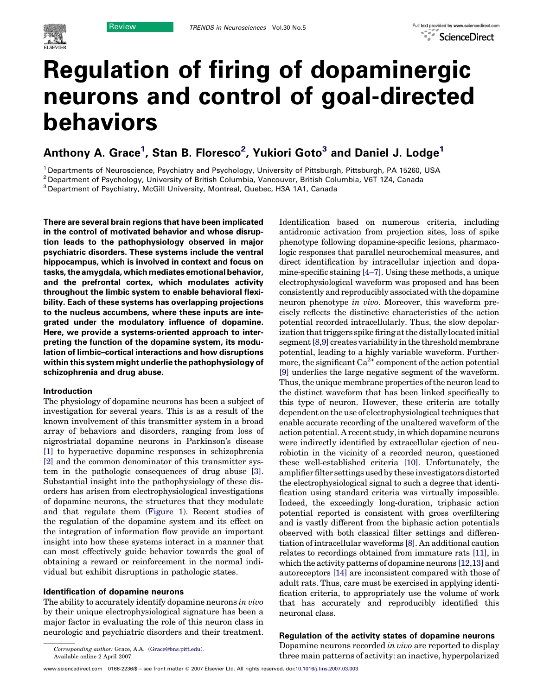# Regulation of firing of dopaminergic neurons and control of goal-directed behaviors

# Anthony A. Grace<sup>1</sup>, Stan B. Floresco<sup>2</sup>, Yukiori Goto<sup>3</sup> and Daniel J. Lodge<sup>1</sup>

<sup>1</sup> Departments of Neuroscience, Psychiatry and Psychology, University of Pittsburgh, Pittsburgh, PA 15260, USA

<sup>2</sup> Department of Psychology, University of British Columbia, Vancouver, British Columbia, V6T 1Z4, Canada

<sup>3</sup> Department of Psychiatry, McGill University, Montreal, Quebec, H3A 1A1, Canada

There are several brain regions that have been implicated in the control of motivated behavior and whose disruption leads to the pathophysiology observed in major psychiatric disorders. These systems include the ventral hippocampus, which is involved in context and focus on tasks, the amygdala, which mediates emotional behavior, and the prefrontal cortex, which modulates activity throughout the limbic system to enable behavioral flexibility. Each of these systems has overlapping projections to the nucleus accumbens, where these inputs are integrated under the modulatory influence of dopamine. Here, we provide a systems-oriented approach to interpreting the function of the dopamine system, its modulation of limbic–cortical interactions and how disruptions within this system might underlie the pathophysiology of schizophrenia and drug abuse.

#### Introduction

The physiology of dopamine neurons has been a subject of investigation for several years. This is as a result of the known involvement of this transmitter system in a broad array of behaviors and disorders, ranging from loss of nigrostriatal dopamine neurons in Parkinson's disease [\[1\]](#page-6-0) to hyperactive dopamine responses in schizophrenia [\[2\]](#page-6-0) and the common denominator of this transmitter system in the pathologic consequences of drug abuse [\[3\]](#page-6-0). Substantial insight into the pathophysiology of these disorders has arisen from electrophysiological investigations of dopamine neurons, the structures that they modulate and that regulate them [\(Figure 1\)](#page-1-0). Recent studies of the regulation of the dopamine system and its effect on the integration of information flow provide an important insight into how these systems interact in a manner that can most effectively guide behavior towards the goal of obtaining a reward or reinforcement in the normal individual but exhibit disruptions in pathologic states.

#### Identification of dopamine neurons

The ability to accurately identify dopamine neurons in vivo by their unique electrophysiological signature has been a major factor in evaluating the role of this neuron class in neurologic and psychiatric disorders and their treatment. Identification based on numerous criteria, including antidromic activation from projection sites, loss of spike phenotype following dopamine-specific lesions, pharmacologic responses that parallel neurochemical measures, and direct identification by intracellular injection and dopamine-specific staining [\[4–7\].](#page-6-0) Using these methods, a unique electrophysiological waveform was proposed and has been consistently and reproducibly associated with the dopamine neuron phenotype in vivo. Moreover, this waveform precisely reflects the distinctive characteristics of the action potential recorded intracellularly. Thus, the slow depolarization that triggers spike firing at the distally located initial segment [\[8,9\]](#page-6-0) creates variability in the threshold membrane potential, leading to a highly variable waveform. Furthermore, the significant  $Ca^{2+}$  component of the action potential [\[9\]](#page-6-0) underlies the large negative segment of the waveform. Thus, the unique membrane properties of the neuron lead to the distinct waveform that has been linked specifically to this type of neuron. However, these criteria are totally dependent on the use of electrophysiological techniques that enable accurate recording of the unaltered waveform of the action potential. A recent study, in which dopamine neurons were indirectly identified by extracellular ejection of neurobiotin in the vicinity of a recorded neuron, questioned these well-established criteria [\[10\]](#page-6-0). Unfortunately, the amplifier filter settings used by these investigators distorted the electrophysiological signal to such a degree that identification using standard criteria was virtually impossible. Indeed, the exceedingly long-duration, triphasic action potential reported is consistent with gross overfiltering and is vastly different from the biphasic action potentials observed with both classical filter settings and differentiation of intracellular waveforms [\[8\].](#page-6-0) An additional caution relates to recordings obtained from immature rats [\[11\]](#page-6-0), in which the activity patterns of dopamine neurons [\[12,13\]](#page-6-0) and autoreceptors [\[14\]](#page-6-0) are inconsistent compared with those of adult rats. Thus, care must be exercised in applying identification criteria, to appropriately use the volume of work that has accurately and reproducibly identified this neuronal class.

## Regulation of the activity states of dopamine neurons

Dopamine neurons recorded in vivo are reported to display three main patterns of activity: an inactive, hyperpolarized

Corresponding author: Grace, A.A. [\(Grace@bns.pitt.edu\)](mailto:Grace@bns.pitt.edu). Available online 2 April 2007.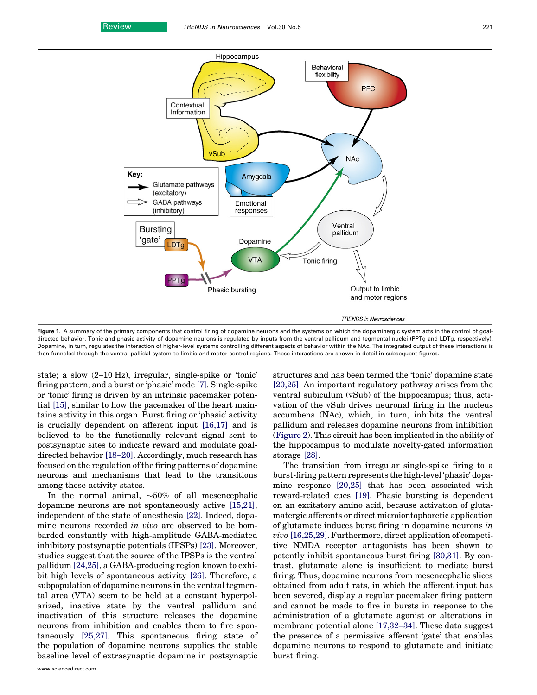<span id="page-1-0"></span>

Figure 1. A summary of the primary components that control firing of dopamine neurons and the systems on which the dopaminergic system acts in the control of goaldirected behavior. Tonic and phasic activity of dopamine neurons is regulated by inputs from the ventral pallidum and tegmental nuclei (PPTg and LDTg, respectively). Dopamine, in turn, regulates the interaction of higher-level systems controlling different aspects of behavior within the NAc. The integrated output of these interactions is then funneled through the ventral pallidal system to limbic and motor control regions. These interactions are shown in detail in subsequent figures.

state; a slow (2–10 Hz), irregular, single-spike or 'tonic' firing pattern; and a burst or 'phasic' mode [\[7\].](#page-6-0) Single-spike or 'tonic' firing is driven by an intrinsic pacemaker potential [\[15\],](#page-6-0) similar to how the pacemaker of the heart maintains activity in this organ. Burst firing or 'phasic' activity is crucially dependent on afferent input [\[16,17\]](#page-6-0) and is believed to be the functionally relevant signal sent to postsynaptic sites to indicate reward and modulate goaldirected behavior [\[18–20\]](#page-6-0). Accordingly, much research has focused on the regulation of the firing patterns of dopamine neurons and mechanisms that lead to the transitions among these activity states.

In the normal animal,  ${\sim}50\%$  of all mesencephalic dopamine neurons are not spontaneously active [\[15,21\]](#page-6-0), independent of the state of anesthesia [\[22\].](#page-6-0) Indeed, dopamine neurons recorded in vivo are observed to be bombarded constantly with high-amplitude GABA-mediated inhibitory postsynaptic potentials (IPSPs) [\[23\]](#page-6-0). Moreover, studies suggest that the source of the IPSPs is the ventral pallidum [\[24,25\]](#page-6-0), a GABA-producing region known to exhibit high levels of spontaneous activity [\[26\]](#page-6-0). Therefore, a subpopulation of dopamine neurons in the ventral tegmental area (VTA) seem to be held at a constant hyperpolarized, inactive state by the ventral pallidum and inactivation of this structure releases the dopamine neurons from inhibition and enables them to fire spontaneously [\[25,27\].](#page-6-0) This spontaneous firing state of the population of dopamine neurons supplies the stable baseline level of extrasynaptic dopamine in postsynaptic

structures and has been termed the 'tonic' dopamine state [\[20,25\]](#page-6-0). An important regulatory pathway arises from the ventral subiculum (vSub) of the hippocampus; thus, activation of the vSub drives neuronal firing in the nucleus accumbens (NAc), which, in turn, inhibits the ventral pallidum and releases dopamine neurons from inhibition ([Figure 2\)](#page-2-0). This circuit has been implicated in the ability of the hippocampus to modulate novelty-gated information storage [\[28\]](#page-6-0).

The transition from irregular single-spike firing to a burst-firing pattern represents the high-level 'phasic' dopamine response [\[20,25\]](#page-6-0) that has been associated with reward-related cues [\[19\].](#page-6-0) Phasic bursting is dependent on an excitatory amino acid, because activation of glutamatergic afferents or direct microiontophoretic application of glutamate induces burst firing in dopamine neurons in vivo [\[16,25,29\]](#page-6-0). Furthermore, direct application of competitive NMDA receptor antagonists has been shown to potently inhibit spontaneous burst firing [\[30,31\].](#page-7-0) By contrast, glutamate alone is insufficient to mediate burst firing. Thus, dopamine neurons from mesencephalic slices obtained from adult rats, in which the afferent input has been severed, display a regular pacemaker firing pattern and cannot be made to fire in bursts in response to the administration of a glutamate agonist or alterations in membrane potential alone [\[17,32–34\].](#page-6-0) These data suggest the presence of a permissive afferent 'gate' that enables dopamine neurons to respond to glutamate and initiate burst firing.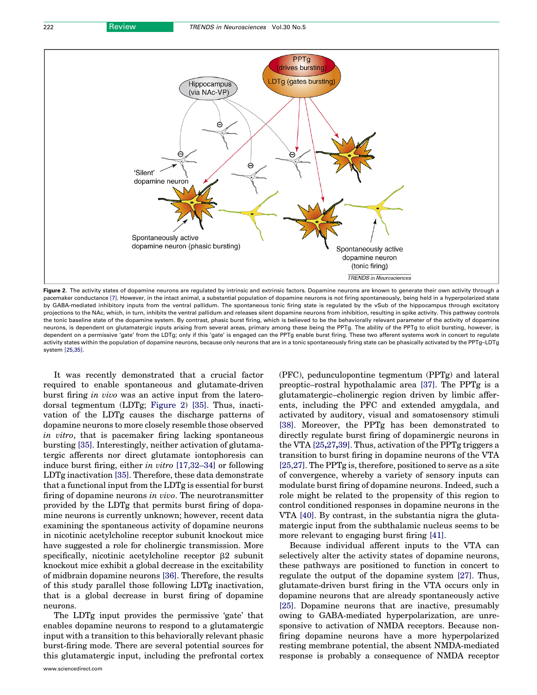<span id="page-2-0"></span>

Figure 2. The activity states of dopamine neurons are regulated by intrinsic and extrinsic factors. Dopamine neurons are known to generate their own activity through a pacemaker conductance [\[7\]](#page-6-0). However, in the intact animal, a substantial population of dopamine neurons is not firing spontaneously, being held in a hyperpolarized state by GABA-mediated inhibitory inputs from the ventral pallidum. The spontaneous tonic firing state is regulated by the vSub of the hippocampus through excitatory projections to the NAc, which, in turn, inhibits the ventral pallidum and releases silent dopamine neurons from inhibition, resulting in spike activity. This pathway controls the tonic baseline state of the dopamine system. By contrast, phasic burst firing, which is believed to be the behaviorally relevant parameter of the activity of dopamine neurons, is dependent on glutamatergic inputs arising from several areas, primary among these being the PPTg. The ability of the PPTg to elicit bursting, however, is dependent on a permissive 'gate' from the LDTg; only if this 'gate' is engaged can the PPTg enable burst firing. These two afferent systems work in concert to regulate activity states within the population of dopamine neurons, because only neurons that are in a tonic spontaneously firing state can be phasically activated by the PPTg–LDTg system [\[25,35\]](#page-6-0).

It was recently demonstrated that a crucial factor required to enable spontaneous and glutamate-driven burst firing in vivo was an active input from the laterodorsal tegmentum (LDTg; Figure 2) [\[35\].](#page-7-0) Thus, inactivation of the LDTg causes the discharge patterns of dopamine neurons to more closely resemble those observed in vitro, that is pacemaker firing lacking spontaneous bursting [\[35\]](#page-7-0). Interestingly, neither activation of glutamatergic afferents nor direct glutamate iontophoresis can induce burst firing, either in vitro [\[17,32–34\]](#page-6-0) or following LDTg inactivation [\[35\]](#page-7-0). Therefore, these data demonstrate that a functional input from the LDTg is essential for burst firing of dopamine neurons in vivo. The neurotransmitter provided by the LDTg that permits burst firing of dopamine neurons is currently unknown; however, recent data examining the spontaneous activity of dopamine neurons in nicotinic acetylcholine receptor subunit knockout mice have suggested a role for cholinergic transmission. More specifically, nicotinic acetylcholine receptor  $\beta$ 2 subunit knockout mice exhibit a global decrease in the excitability of midbrain dopamine neurons [\[36\].](#page-7-0) Therefore, the results of this study parallel those following LDTg inactivation, that is a global decrease in burst firing of dopamine neurons.

The LDTg input provides the permissive 'gate' that enables dopamine neurons to respond to a glutamatergic input with a transition to this behaviorally relevant phasic burst-firing mode. There are several potential sources for this glutamatergic input, including the prefrontal cortex

www.sciencedirect.com

(PFC), pedunculopontine tegmentum (PPTg) and lateral preoptic–rostral hypothalamic area [\[37\]](#page-7-0). The PPTg is a glutamatergic–cholinergic region driven by limbic afferents, including the PFC and extended amygdala, and activated by auditory, visual and somatosensory stimuli [\[38\]](#page-7-0). Moreover, the PPTg has been demonstrated to directly regulate burst firing of dopaminergic neurons in the VTA [\[25](#page-6-0),27,39]. Thus, activation of the PPTg triggers a transition to burst firing in dopamine neurons of the VTA [\[25,27\]](#page-6-0). The PPTg is, therefore, positioned to serve as a site of convergence, whereby a variety of sensory inputs can modulate burst firing of dopamine neurons. Indeed, such a role might be related to the propensity of this region to control conditioned responses in dopamine neurons in the VTA [\[40\]](#page-7-0). By contrast, in the substantia nigra the glutamatergic input from the subthalamic nucleus seems to be more relevant to engaging burst firing [\[41\].](#page-7-0)

Because individual afferent inputs to the VTA can selectively alter the activity states of dopamine neurons, these pathways are positioned to function in concert to regulate the output of the dopamine system [\[27\]](#page-6-0). Thus, glutamate-driven burst firing in the VTA occurs only in dopamine neurons that are already spontaneously active [\[25\]](#page-6-0). Dopamine neurons that are inactive, presumably owing to GABA-mediated hyperpolarization, are unresponsive to activation of NMDA receptors. Because nonfiring dopamine neurons have a more hyperpolarized resting membrane potential, the absent NMDA-mediated response is probably a consequence of NMDA receptor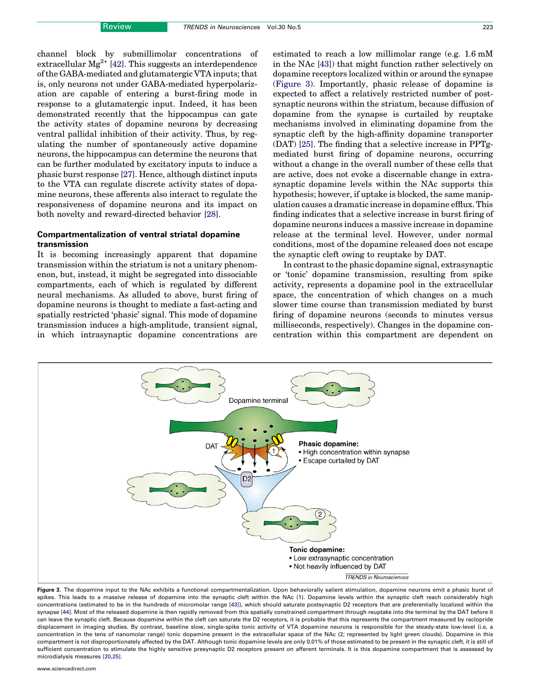<span id="page-3-0"></span>channel block by submillimolar concentrations of extracellular  $Mg^{2+}$ [\[42\].](#page-7-0) This suggests an interdependence of the GABA-mediated and glutamatergic VTA inputs; that is, only neurons not under GABA-mediated hyperpolarization are capable of entering a burst-firing mode in response to a glutamatergic input. Indeed, it has been demonstrated recently that the hippocampus can gate the activity states of dopamine neurons by decreasing ventral pallidal inhibition of their activity. Thus, by regulating the number of spontaneously active dopamine neurons, the hippocampus can determine the neurons that can be further modulated by excitatory inputs to induce a phasic burst response [\[27\]](#page-6-0). Hence, although distinct inputs to the VTA can regulate discrete activity states of dopamine neurons, these afferents also interact to regulate the responsiveness of dopamine neurons and its impact on both novelty and reward-directed behavior [\[28\]](#page-6-0).

### Compartmentalization of ventral striatal dopamine transmission

It is becoming increasingly apparent that dopamine transmission within the striatum is not a unitary phenomenon, but, instead, it might be segregated into dissociable compartments, each of which is regulated by different neural mechanisms. As alluded to above, burst firing of dopamine neurons is thought to mediate a fast-acting and spatially restricted 'phasic' signal. This mode of dopamine transmission induces a high-amplitude, transient signal, in which intrasynaptic dopamine concentrations are

estimated to reach a low millimolar range (e.g. 1.6 mM in the NAc [\[43\]\)](#page-7-0) that might function rather selectively on dopamine receptors localized within or around the synapse (Figure 3). Importantly, phasic release of dopamine is expected to affect a relatively restricted number of postsynaptic neurons within the striatum, because diffusion of dopamine from the synapse is curtailed by reuptake mechanisms involved in eliminating dopamine from the synaptic cleft by the high-affinity dopamine transporter (DAT) [\[25\]](#page-6-0). The finding that a selective increase in PPTgmediated burst firing of dopamine neurons, occurring without a change in the overall number of these cells that are active, does not evoke a discernable change in extrasynaptic dopamine levels within the NAc supports this hypothesis; however, if uptake is blocked, the same manipulation causes a dramatic increase in dopamine efflux. This finding indicates that a selective increase in burst firing of dopamine neurons induces a massive increase in dopamine release at the terminal level. However, under normal conditions, most of the dopamine released does not escape the synaptic cleft owing to reuptake by DAT.

In contrast to the phasic dopamine signal, extrasynaptic or 'tonic' dopamine transmission, resulting from spike activity, represents a dopamine pool in the extracellular space, the concentration of which changes on a much slower time course than transmission mediated by burst firing of dopamine neurons (seconds to minutes versus milliseconds, respectively). Changes in the dopamine concentration within this compartment are dependent on



Figure 3. The dopamine input to the NAc exhibits a functional compartmentalization. Upon behaviorally salient stimulation, dopamine neurons emit a phasic burst of spikes. This leads to a massive release of dopamine into the synaptic cleft within the NAc (1). Dopamine levels within the synaptic cleft reach considerably high concentrations (estimated to be in the hundreds of micromolar range [\[43\]\)](#page-7-0), which should saturate postsynaptic D2 receptors that are preferentially localized within the synapse [\[44\].](#page-7-0) Most of the released dopamine is then rapidly removed from this spatially constrained compartment through reuptake into the terminal by the DAT before it can leave the synaptic cleft. Because dopamine within the cleft can saturate the D2 receptors, it is probable that this represents the compartment measured by raclopride displacement in imaging studies. By contrast, baseline slow, single-spike tonic activity of VTA dopamine neurons is responsible for the steady-state low-level (i.e, a concentration in the tens of nanomolar range) tonic dopamine present in the extracellular space of the NAc (2; represented by light green clouds). Dopamine in this compartment is not disproportionately affected by the DAT. Although tonic dopamine levels are only 0.01% of those estimated to be present in the synaptic cleft, it is still of sufficient concentration to stimulate the highly sensitive presynaptic D2 receptors present on afferent terminals. It is this dopamine compartment that is assessed by microdialysis measures [\[20,25\].](#page-6-0)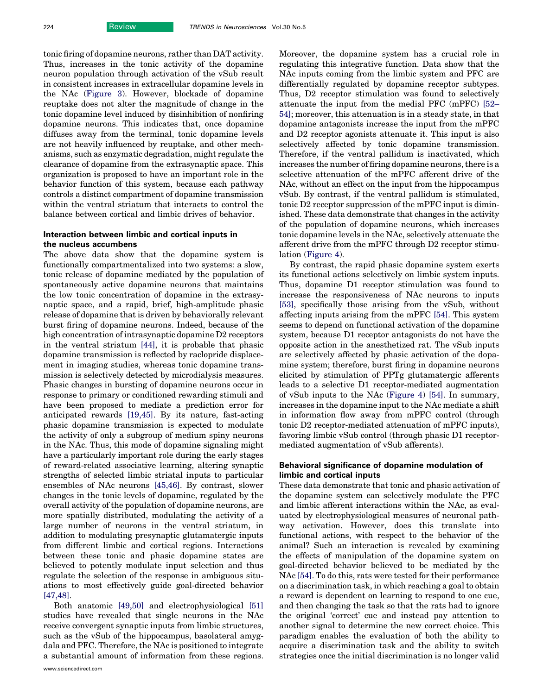tonic firing of dopamine neurons, rather than DAT activity. Thus, increases in the tonic activity of the dopamine neuron population through activation of the vSub result in consistent increases in extracellular dopamine levels in the NAc ([Figure 3](#page-3-0)). However, blockade of dopamine reuptake does not alter the magnitude of change in the tonic dopamine level induced by disinhibition of nonfiring dopamine neurons. This indicates that, once dopamine diffuses away from the terminal, tonic dopamine levels are not heavily influenced by reuptake, and other mechanisms, such as enzymatic degradation, might regulate the clearance of dopamine from the extrasynaptic space. This organization is proposed to have an important role in the behavior function of this system, because each pathway controls a distinct compartment of dopamine transmission within the ventral striatum that interacts to control the balance between cortical and limbic drives of behavior.

### Interaction between limbic and cortical inputs in the nucleus accumbens

The above data show that the dopamine system is functionally compartmentalized into two systems: a slow, tonic release of dopamine mediated by the population of spontaneously active dopamine neurons that maintains the low tonic concentration of dopamine in the extrasynaptic space, and a rapid, brief, high-amplitude phasic release of dopamine that is driven by behaviorally relevant burst firing of dopamine neurons. Indeed, because of the high concentration of intrasynaptic dopamine D2 receptors in the ventral striatum [\[44\]](#page-7-0), it is probable that phasic dopamine transmission is reflected by raclopride displacement in imaging studies, whereas tonic dopamine transmission is selectively detected by microdialysis measures. Phasic changes in bursting of dopamine neurons occur in response to primary or conditioned rewarding stimuli and have been proposed to mediate a prediction error for anticipated rewards [\[19,45\].](#page-6-0) By its nature, fast-acting phasic dopamine transmission is expected to modulate the activity of only a subgroup of medium spiny neurons in the NAc. Thus, this mode of dopamine signaling might have a particularly important role during the early stages of reward-related associative learning, altering synaptic strengths of selected limbic striatal inputs to particular ensembles of NAc neurons [\[45,46\]](#page-7-0). By contrast, slower changes in the tonic levels of dopamine, regulated by the overall activity of the population of dopamine neurons, are more spatially distributed, modulating the activity of a large number of neurons in the ventral striatum, in addition to modulating presynaptic glutamatergic inputs from different limbic and cortical regions. Interactions between these tonic and phasic dopamine states are believed to potently modulate input selection and thus regulate the selection of the response in ambiguous situations to most effectively guide goal-directed behavior [\[47,48\]](#page-7-0).

Both anatomic [\[49,50\]](#page-7-0) and electrophysiological [\[51\]](#page-7-0) studies have revealed that single neurons in the NAc receive convergent synaptic inputs from limbic structures, such as the vSub of the hippocampus, basolateral amygdala and PFC. Therefore, the NAc is positioned to integrate a substantial amount of information from these regions. Moreover, the dopamine system has a crucial role in regulating this integrative function. Data show that the NAc inputs coming from the limbic system and PFC are differentially regulated by dopamine receptor subtypes. Thus, D2 receptor stimulation was found to selectively attenuate the input from the medial PFC (mPFC) [\[52–](#page-7-0) [54\]](#page-7-0); moreover, this attenuation is in a steady state, in that dopamine antagonists increase the input from the mPFC and D2 receptor agonists attenuate it. This input is also selectively affected by tonic dopamine transmission. Therefore, if the ventral pallidum is inactivated, which increases the number of firing dopamine neurons, there is a selective attenuation of the mPFC afferent drive of the NAc, without an effect on the input from the hippocampus vSub. By contrast, if the ventral pallidum is stimulated, tonic D2 receptor suppression of the mPFC input is diminished. These data demonstrate that changes in the activity of the population of dopamine neurons, which increases tonic dopamine levels in the NAc, selectively attenuate the afferent drive from the mPFC through D2 receptor stimulation [\(Figure 4](#page-5-0)).

By contrast, the rapid phasic dopamine system exerts its functional actions selectively on limbic system inputs. Thus, dopamine D1 receptor stimulation was found to increase the responsiveness of NAc neurons to inputs [\[53\]](#page-7-0), specifically those arising from the vSub, without affecting inputs arising from the mPFC [\[54\]](#page-7-0). This system seems to depend on functional activation of the dopamine system, because D1 receptor antagonists do not have the opposite action in the anesthetized rat. The vSub inputs are selectively affected by phasic activation of the dopamine system; therefore, burst firing in dopamine neurons elicited by stimulation of PPTg glutamatergic afferents leads to a selective D1 receptor-mediated augmentation of vSub inputs to the NAc [\(Figure 4](#page-5-0)) [\[54\].](#page-7-0) In summary, increases in the dopamine input to the NAc mediate a shift in information flow away from mPFC control (through tonic D2 receptor-mediated attenuation of mPFC inputs), favoring limbic vSub control (through phasic D1 receptormediated augmentation of vSub afferents).

#### Behavioral significance of dopamine modulation of limbic and cortical inputs

These data demonstrate that tonic and phasic activation of the dopamine system can selectively modulate the PFC and limbic afferent interactions within the NAc, as evaluated by electrophysiological measures of neuronal pathway activation. However, does this translate into functional actions, with respect to the behavior of the animal? Such an interaction is revealed by examining the effects of manipulation of the dopamine system on goal-directed behavior believed to be mediated by the NAc [\[54\].](#page-7-0) To do this, rats were tested for their performance on a discrimination task, in which reaching a goal to obtain a reward is dependent on learning to respond to one cue, and then changing the task so that the rats had to ignore the original 'correct' cue and instead pay attention to another signal to determine the new correct choice. This paradigm enables the evaluation of both the ability to acquire a discrimination task and the ability to switch strategies once the initial discrimination is no longer valid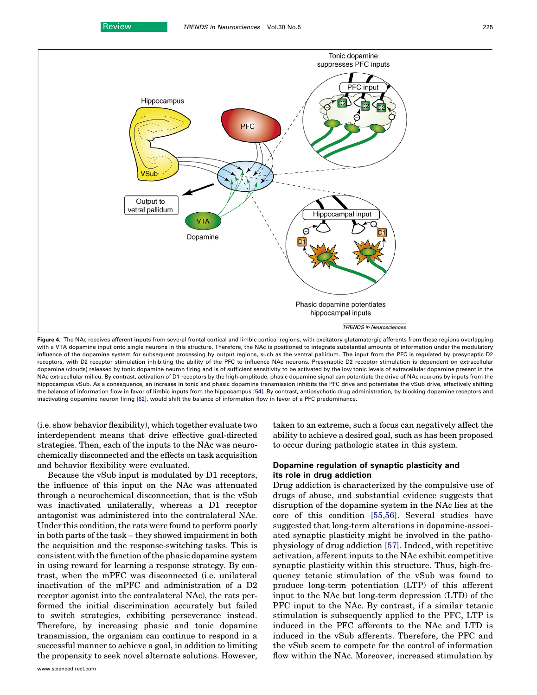<span id="page-5-0"></span>![](_page_5_Figure_3.jpeg)

Figure 4. The NAc receives afferent inputs from several frontal cortical and limbic cortical regions, with excitatory glutamatergic afferents from these regions overlapping with a VTA dopamine input onto single neurons in this structure. Therefore, the NAc is positioned to integrate substantial amounts of information under the modulatory influence of the dopamine system for subsequent processing by output regions, such as the ventral pallidum. The input from the PFC is regulated by presynaptic D2 receptors, with D2 receptor stimulation inhibiting the ability of the PFC to influence NAc neurons. Presynaptic D2 receptor stimulation is dependent on extracellular dopamine (clouds) released by tonic dopamine neuron firing and is of sufficient sensitivity to be activated by the low tonic levels of extracellular dopamine present in the NAc extracellular milieu. By contrast, activation of D1 receptors by the high-amplitude, phasic dopamine signal can potentiate the drive of NAc neurons by inputs from the hippocampus vSub. As a consequence, an increase in tonic and phasic dopamine transmission inhibits the PFC drive and potentiates the vSub drive, effectively shifting the balance of information flow in favor of limbic inputs from the hippocampus [\[54\]](#page-7-0). By contrast, antipsychotic drug administration, by blocking dopamine receptors and inactivating dopamine neuron firing [\[62\]](#page-7-0), would shift the balance of information flow in favor of a PFC predominance.

(i.e. show behavior flexibility), which together evaluate two interdependent means that drive effective goal-directed strategies. Then, each of the inputs to the NAc was neurochemically disconnected and the effects on task acquisition and behavior flexibility were evaluated.

Because the vSub input is modulated by D1 receptors, the influence of this input on the NAc was attenuated through a neurochemical disconnection, that is the vSub was inactivated unilaterally, whereas a D1 receptor antagonist was administered into the contralateral NAc. Under this condition, the rats were found to perform poorly in both parts of the task – they showed impairment in both the acquisition and the response-switching tasks. This is consistent with the function of the phasic dopamine system in using reward for learning a response strategy. By contrast, when the mPFC was disconnected (i.e. unilateral inactivation of the mPFC and administration of a D2 receptor agonist into the contralateral NAc), the rats performed the initial discrimination accurately but failed to switch strategies, exhibiting perseverance instead. Therefore, by increasing phasic and tonic dopamine transmission, the organism can continue to respond in a successful manner to achieve a goal, in addition to limiting the propensity to seek novel alternate solutions. However, taken to an extreme, such a focus can negatively affect the ability to achieve a desired goal, such as has been proposed to occur during pathologic states in this system.

#### Dopamine regulation of synaptic plasticity and its role in drug addiction

Drug addiction is characterized by the compulsive use of drugs of abuse, and substantial evidence suggests that disruption of the dopamine system in the NAc lies at the core of this condition [\[55,56\]](#page-7-0). Several studies have suggested that long-term alterations in dopamine-associated synaptic plasticity might be involved in the pathophysiology of drug addiction [\[57\].](#page-7-0) Indeed, with repetitive activation, afferent inputs to the NAc exhibit competitive synaptic plasticity within this structure. Thus, high-frequency tetanic stimulation of the vSub was found to produce long-term potentiation (LTP) of this afferent input to the NAc but long-term depression (LTD) of the PFC input to the NAc. By contrast, if a similar tetanic stimulation is subsequently applied to the PFC, LTP is induced in the PFC afferents to the NAc and LTD is induced in the vSub afferents. Therefore, the PFC and the vSub seem to compete for the control of information flow within the NAc. Moreover, increased stimulation by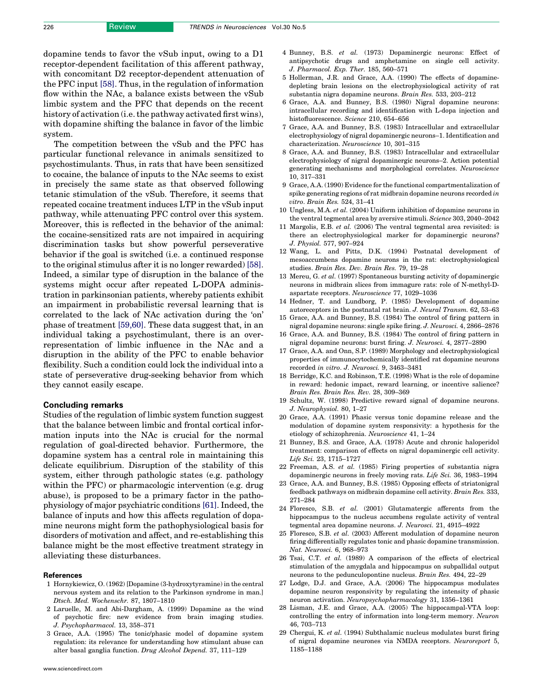<span id="page-6-0"></span>dopamine tends to favor the vSub input, owing to a D1 receptor-dependent facilitation of this afferent pathway, with concomitant D2 receptor-dependent attenuation of the PFC input [\[58\].](#page-7-0) Thus, in the regulation of information flow within the NAc, a balance exists between the vSub limbic system and the PFC that depends on the recent history of activation (i.e. the pathway activated first wins), with dopamine shifting the balance in favor of the limbic system.

The competition between the vSub and the PFC has particular functional relevance in animals sensitized to psychostimulants. Thus, in rats that have been sensitized to cocaine, the balance of inputs to the NAc seems to exist in precisely the same state as that observed following tetanic stimulation of the vSub. Therefore, it seems that repeated cocaine treatment induces LTP in the vSub input pathway, while attenuating PFC control over this system. Moreover, this is reflected in the behavior of the animal: the cocaine-sensitized rats are not impaired in acquiring discrimination tasks but show powerful perseverative behavior if the goal is switched (i.e. a continued response to the original stimulus after it is no longer rewarded) [\[58\]](#page-7-0). Indeed, a similar type of disruption in the balance of the systems might occur after repeated L-DOPA administration in parkinsonian patients, whereby patients exhibit an impairment in probabilistic reversal learning that is correlated to the lack of NAc activation during the 'on' phase of treatment [\[59,60\]](#page-7-0). These data suggest that, in an individual taking a psychostimulant, there is an overrepresentation of limbic influence in the NAc and a disruption in the ability of the PFC to enable behavior flexibility. Such a condition could lock the individual into a state of perseverative drug-seeking behavior from which they cannot easily escape.

#### Concluding remarks

Studies of the regulation of limbic system function suggest that the balance between limbic and frontal cortical information inputs into the NAc is crucial for the normal regulation of goal-directed behavior. Furthermore, the dopamine system has a central role in maintaining this delicate equilibrium. Disruption of the stability of this system, either through pathologic states (e.g. pathology within the PFC) or pharmacologic intervention (e.g. drug abuse), is proposed to be a primary factor in the pathophysiology of major psychiatric conditions [\[61\]](#page-7-0). Indeed, the balance of inputs and how this affects regulation of dopamine neurons might form the pathophysiological basis for disorders of motivation and affect, and re-establishing this balance might be the most effective treatment strategy in alleviating these disturbances.

#### References

- 1 Hornykiewicz, O. (1962) [Dopamine (3-hydroxytyramine) in the central nervous system and its relation to the Parkinson syndrome in man.] Dtsch. Med. Wochenschr. 87, 1807–1810
- 2 Laruelle, M. and Abi-Dargham, A. (1999) Dopamine as the wind of psychotic fire: new evidence from brain imaging studies. J. Psychopharmacol. 13, 358–371
- 3 Grace, A.A. (1995) The tonic/phasic model of dopamine system regulation: its relevance for understanding how stimulant abuse can alter basal ganglia function. Drug Alcohol Depend. 37, 111–129
- 4 Bunney, B.S. et al. (1973) Dopaminergic neurons: Effect of antipsychotic drugs and amphetamine on single cell activity. J. Pharmacol. Exp. Ther. 185, 560–571
- 5 Hollerman, J.R. and Grace, A.A. (1990) The effects of dopaminedepleting brain lesions on the electrophysiological activity of rat substantia nigra dopamine neurons. Brain Res. 533, 203–212
- 6 Grace, A.A. and Bunney, B.S. (1980) Nigral dopamine neurons: intracellular recording and identification with L-dopa injection and histofluorescence. Science 210, 654–656
- 7 Grace, A.A. and Bunney, B.S. (1983) Intracellular and extracellular electrophysiology of nigral dopaminergic neurons–1. Identification and characterization. Neuroscience 10, 301–315
- 8 Grace, A.A. and Bunney, B.S. (1983) Intracellular and extracellular electrophysiology of nigral dopaminergic neurons–2. Action potential generating mechanisms and morphological correlates. Neuroscience 10, 317–331
- 9 Grace, A.A. (1990) Evidence for the functional compartmentalization of spike generating regions of rat midbrain dopamine neurons recorded in vitro. Brain Res. 524, 31–41
- 10 Ungless, M.A. et al. (2004) Uniform inhibition of dopamine neurons in the ventral tegmental area by aversive stimuli. Science 303, 2040–2042
- 11 Margolis, E.B. et al. (2006) The ventral tegmental area revisited: is there an electrophysiological marker for dopaminergic neurons? J. Physiol. 577, 907–924
- 12 Wang, L. and Pitts, D.K. (1994) Postnatal development of mesoaccumbens dopamine neurons in the rat: electrophysiological studies. Brain Res. Dev. Brain Res. 79, 19–28
- 13 Mereu, G. et al. (1997) Spontaneous bursting activity of dopaminergic neurons in midbrain slices from immagure rats: role of N-methyl-Daspartate receptors. Neuroscience 77, 1029–1036
- 14 Hedner, T. and Lundborg, P. (1985) Development of dopamine autoreceptors in the postnatal rat brain. J. Neural Transm. 62, 53–63
- 15 Grace, A.A. and Bunney, B.S. (1984) The control of firing pattern in nigral dopamine neurons: single spike firing. J. Neurosci. 4, 2866–2876
- 16 Grace, A.A. and Bunney, B.S. (1984) The control of firing pattern in nigral dopamine neurons: burst firing. J. Neurosci. 4, 2877–2890
- 17 Grace, A.A. and Onn, S.P. (1989) Morphology and electrophysiological properties of immunocytochemically identified rat dopamine neurons recorded in vitro. J. Neurosci. 9, 3463–3481
- 18 Berridge, K.C. and Robinson, T.E. (1998) What is the role of dopamine in reward: hedonic impact, reward learning, or incentive salience? Brain Res. Brain Res. Rev. 28, 309–369
- 19 Schultz, W. (1998) Predictive reward signal of dopamine neurons. J. Neurophysiol. 80, 1–27
- 20 Grace, A.A. (1991) Phasic versus tonic dopamine release and the modulation of dopamine system responsivity: a hypothesis for the etiology of schizophrenia. Neuroscience 41, 1–24
- 21 Bunney, B.S. and Grace, A.A. (1978) Acute and chronic haloperidol treatment: comparison of effects on nigral dopaminergic cell activity. Life Sci. 23, 1715–1727
- 22 Freeman, A.S. et al. (1985) Firing properties of substantia nigra dopaminergic neurons in freely moving rats. Life Sci. 36, 1983–1994
- 23 Grace, A.A. and Bunney, B.S. (1985) Opposing effects of striatonigral feedback pathways on midbrain dopamine cell activity. Brain Res. 333, 271–284
- 24 Floresco, S.B. et al. (2001) Glutamatergic afferents from the hippocampus to the nucleus accumbens regulate activity of ventral tegmental area dopamine neurons. J. Neurosci. 21, 4915–4922
- 25 Floresco, S.B. et al. (2003) Afferent modulation of dopamine neuron firing differentially regulates tonic and phasic dopamine transmission. Nat. Neurosci. 6, 968–973
- 26 Tsai, C.T. et al. (1989) A comparison of the effects of electrical stimulation of the amygdala and hippocampus on subpallidal output neurons to the pedunculopontine nucleus. Brain Res. 494, 22–29
- 27 Lodge, D.J. and Grace, A.A. (2006) The hippocampus modulates dopamine neuron responsivity by regulating the intensity of phasic neuron activation. Neuropsychopharmacology 31, 1356–1361
- 28 Lisman, J.E. and Grace, A.A. (2005) The hippocampal-VTA loop: controlling the entry of information into long-term memory. Neuron 46, 703–713
- 29 Chergui, K. et al. (1994) Subthalamic nucleus modulates burst firing of nigral dopamine neurones via NMDA receptors. Neuroreport 5, 1185–1188